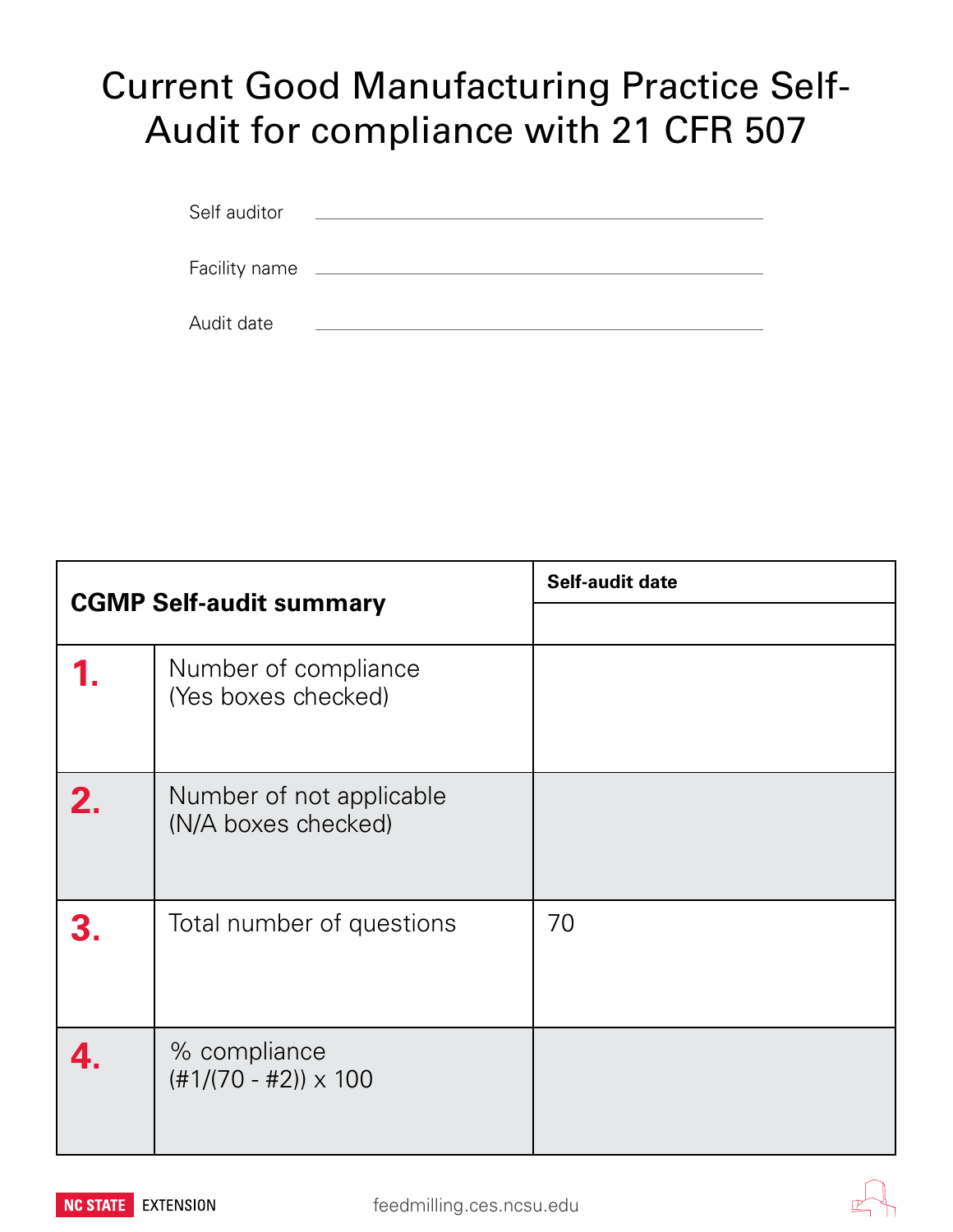## Current Good Manufacturing Practice Self-Audit for compliance with 21 CFR 507

| Self auditor  |  |
|---------------|--|
|               |  |
|               |  |
| Facility name |  |
|               |  |
| Audit date    |  |

| <b>CGMP Self-audit summary</b> |                                                 | Self-audit date |
|--------------------------------|-------------------------------------------------|-----------------|
|                                |                                                 |                 |
|                                | Number of compliance<br>(Yes boxes checked)     |                 |
| 2.                             | Number of not applicable<br>(N/A boxes checked) |                 |
|                                | Total number of questions                       | 70              |
|                                | % compliance<br>$(\#1/(70 - #2)) \times 100$    |                 |



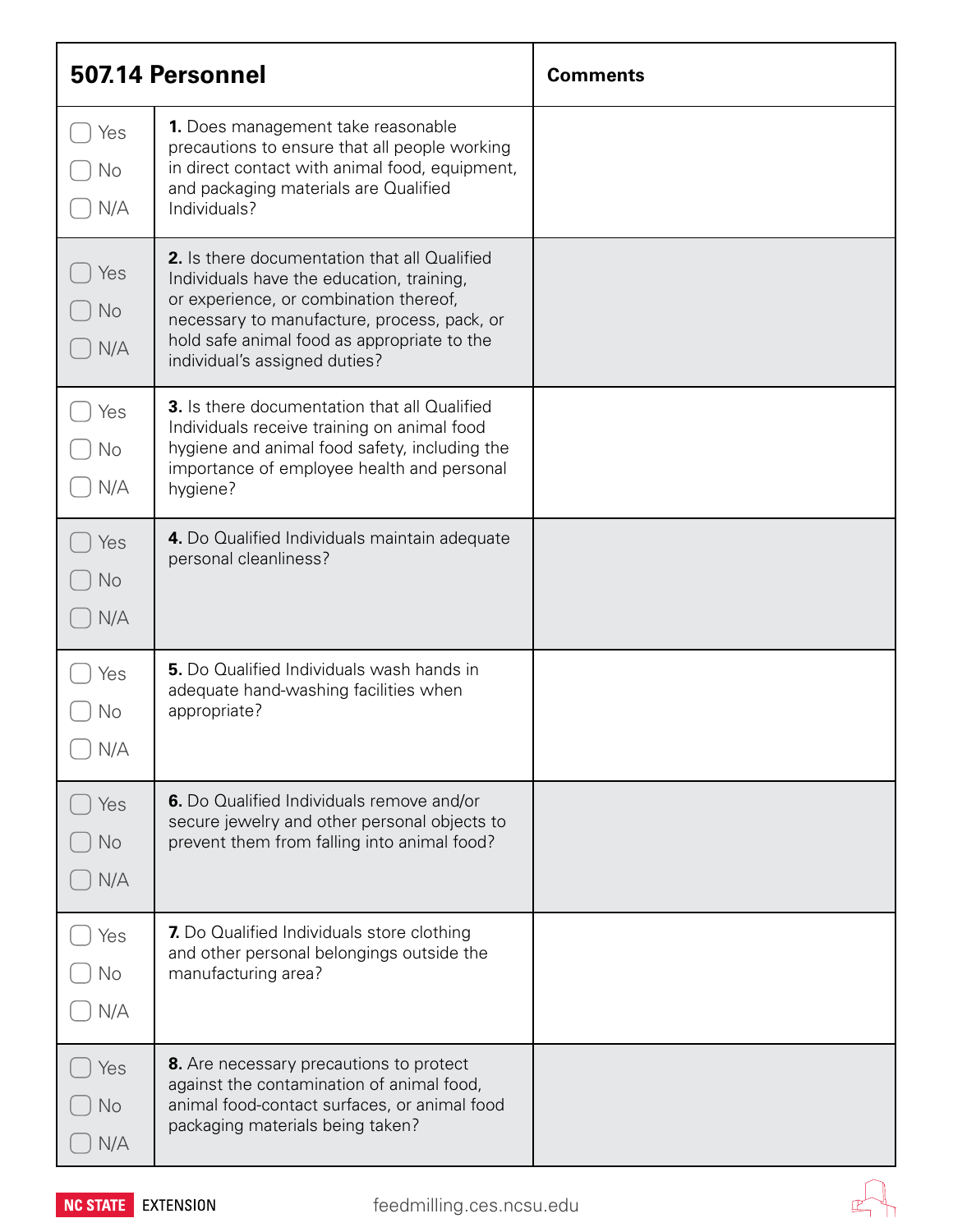| 507.14 Personnel        |                                                                                                                                                                                                                                                                           | <b>Comments</b> |
|-------------------------|---------------------------------------------------------------------------------------------------------------------------------------------------------------------------------------------------------------------------------------------------------------------------|-----------------|
| Yes<br>No<br>N/A        | <b>1.</b> Does management take reasonable<br>precautions to ensure that all people working<br>in direct contact with animal food, equipment,<br>and packaging materials are Qualified<br>Individuals?                                                                     |                 |
| Yes<br>I No<br>N/A      | <b>2.</b> Is there documentation that all Qualified<br>Individuals have the education, training,<br>or experience, or combination thereof,<br>necessary to manufacture, process, pack, or<br>hold safe animal food as appropriate to the<br>individual's assigned duties? |                 |
| Yes<br>No<br>N/A        | <b>3.</b> Is there documentation that all Qualified<br>Individuals receive training on animal food<br>hygiene and animal food safety, including the<br>importance of employee health and personal<br>hygiene?                                                             |                 |
| Yes<br><b>No</b><br>N/A | 4. Do Qualified Individuals maintain adequate<br>personal cleanliness?                                                                                                                                                                                                    |                 |
| Yes<br>No<br>N/A        | <b>5.</b> Do Qualified Individuals wash hands in<br>adequate hand-washing facilities when<br>appropriate?                                                                                                                                                                 |                 |
| Yes<br>No<br>N/A        | 6. Do Qualified Individuals remove and/or<br>secure jewelry and other personal objects to<br>prevent them from falling into animal food?                                                                                                                                  |                 |
| Yes<br>No<br>N/A        | 7. Do Qualified Individuals store clothing<br>and other personal belongings outside the<br>manufacturing area?                                                                                                                                                            |                 |
| Yes<br>No<br>N/A        | 8. Are necessary precautions to protect<br>against the contamination of animal food,<br>animal food-contact surfaces, or animal food<br>packaging materials being taken?                                                                                                  |                 |

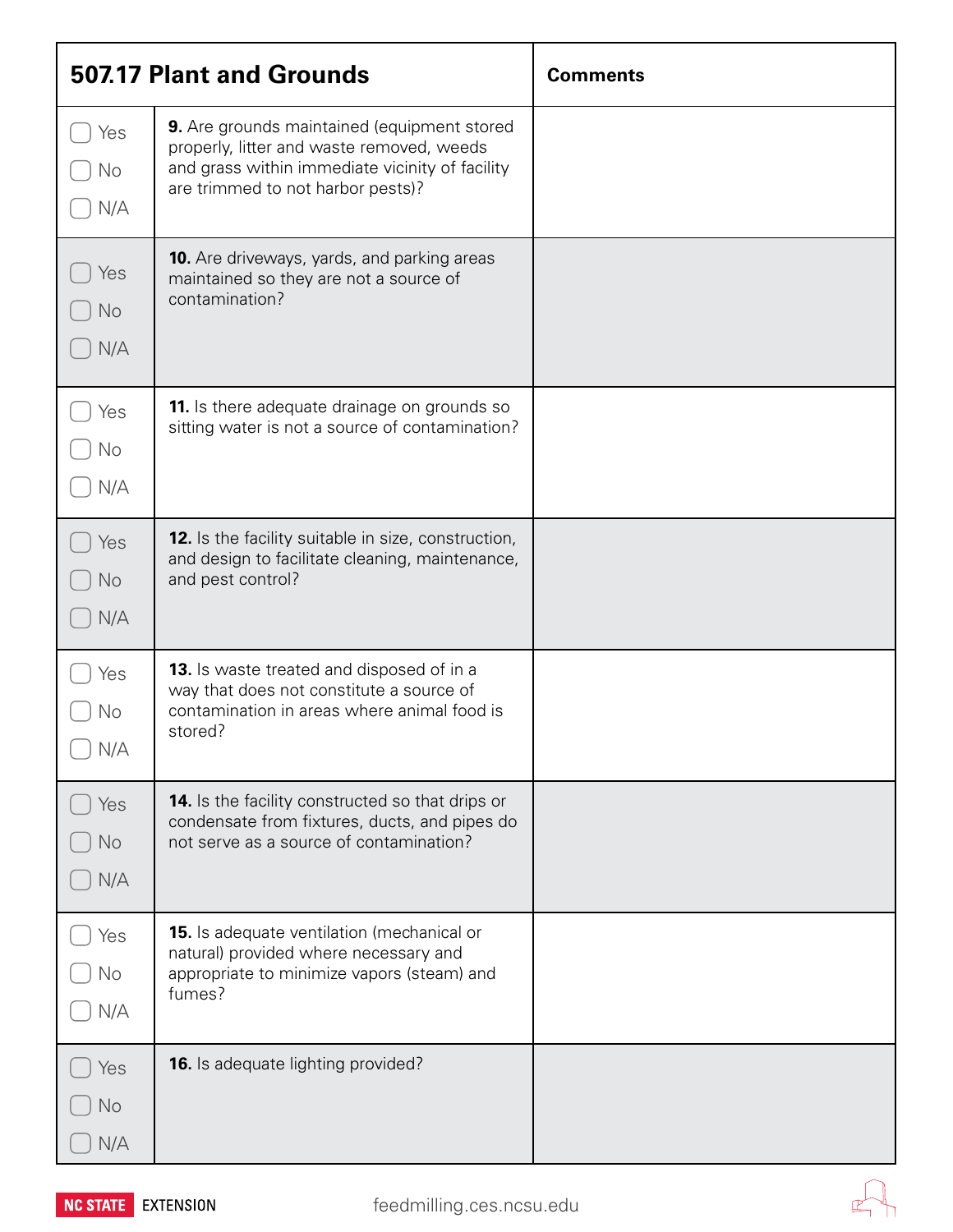| <b>507.17 Plant and Grounds</b> |                                                                                                                                                                                  | <b>Comments</b> |
|---------------------------------|----------------------------------------------------------------------------------------------------------------------------------------------------------------------------------|-----------------|
| Yes<br>No<br>N/A                | 9. Are grounds maintained (equipment stored<br>properly, litter and waste removed, weeds<br>and grass within immediate vicinity of facility<br>are trimmed to not harbor pests)? |                 |
| Yes<br>No<br>N/A                | <b>10.</b> Are driveways, yards, and parking areas<br>maintained so they are not a source of<br>contamination?                                                                   |                 |
| Yes<br>No<br>N/A                | 11. Is there adequate drainage on grounds so<br>sitting water is not a source of contamination?                                                                                  |                 |
| Yes<br><b>No</b><br>N/A         | <b>12.</b> Is the facility suitable in size, construction,<br>and design to facilitate cleaning, maintenance,<br>and pest control?                                               |                 |
| Yes<br>No<br>N/A                | <b>13.</b> Is waste treated and disposed of in a<br>way that does not constitute a source of<br>contamination in areas where animal food is<br>stored?                           |                 |
| Yes<br><b>No</b><br>N/A         | <b>14.</b> Is the facility constructed so that drips or<br>condensate from fixtures, ducts, and pipes do<br>not serve as a source of contamination?                              |                 |
| Yes<br>No<br>N/A                | <b>15.</b> Is adequate ventilation (mechanical or<br>natural) provided where necessary and<br>appropriate to minimize vapors (steam) and<br>fumes?                               |                 |
| Yes<br>No<br>N/A                | <b>16.</b> Is adequate lighting provided?                                                                                                                                        |                 |



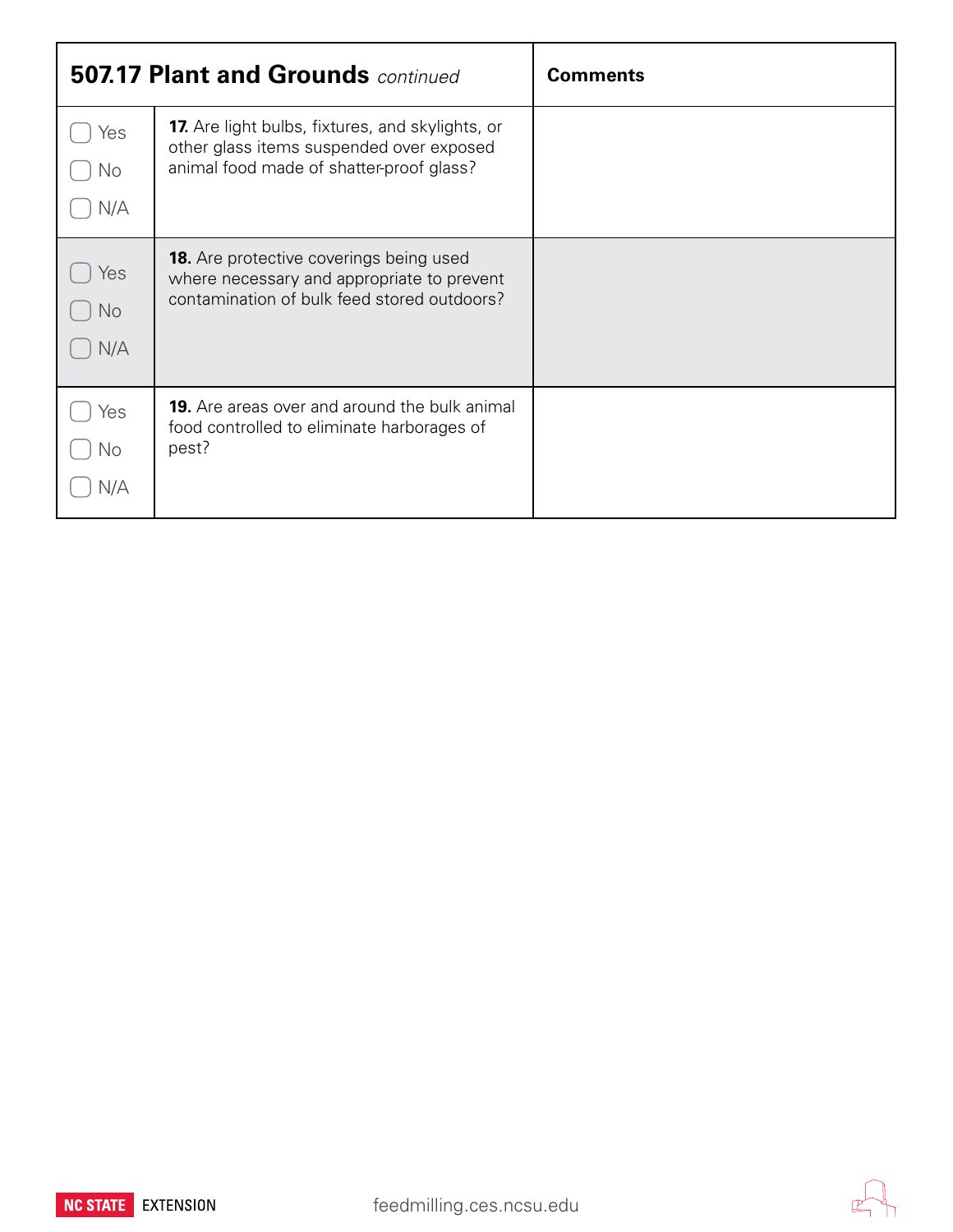|                  | <b>507.17 Plant and Grounds continued</b>                                                                                                       | <b>Comments</b> |
|------------------|-------------------------------------------------------------------------------------------------------------------------------------------------|-----------------|
| Yes<br>No<br>N/A | <b>17.</b> Are light bulbs, fixtures, and skylights, or<br>other glass items suspended over exposed<br>animal food made of shatter-proof glass? |                 |
| Yes<br>No<br>N/A | <b>18.</b> Are protective coverings being used<br>where necessary and appropriate to prevent<br>contamination of bulk feed stored outdoors?     |                 |
| Yes<br>No<br>N/A | <b>19.</b> Are areas over and around the bulk animal<br>food controlled to eliminate harborages of<br>pest?                                     |                 |

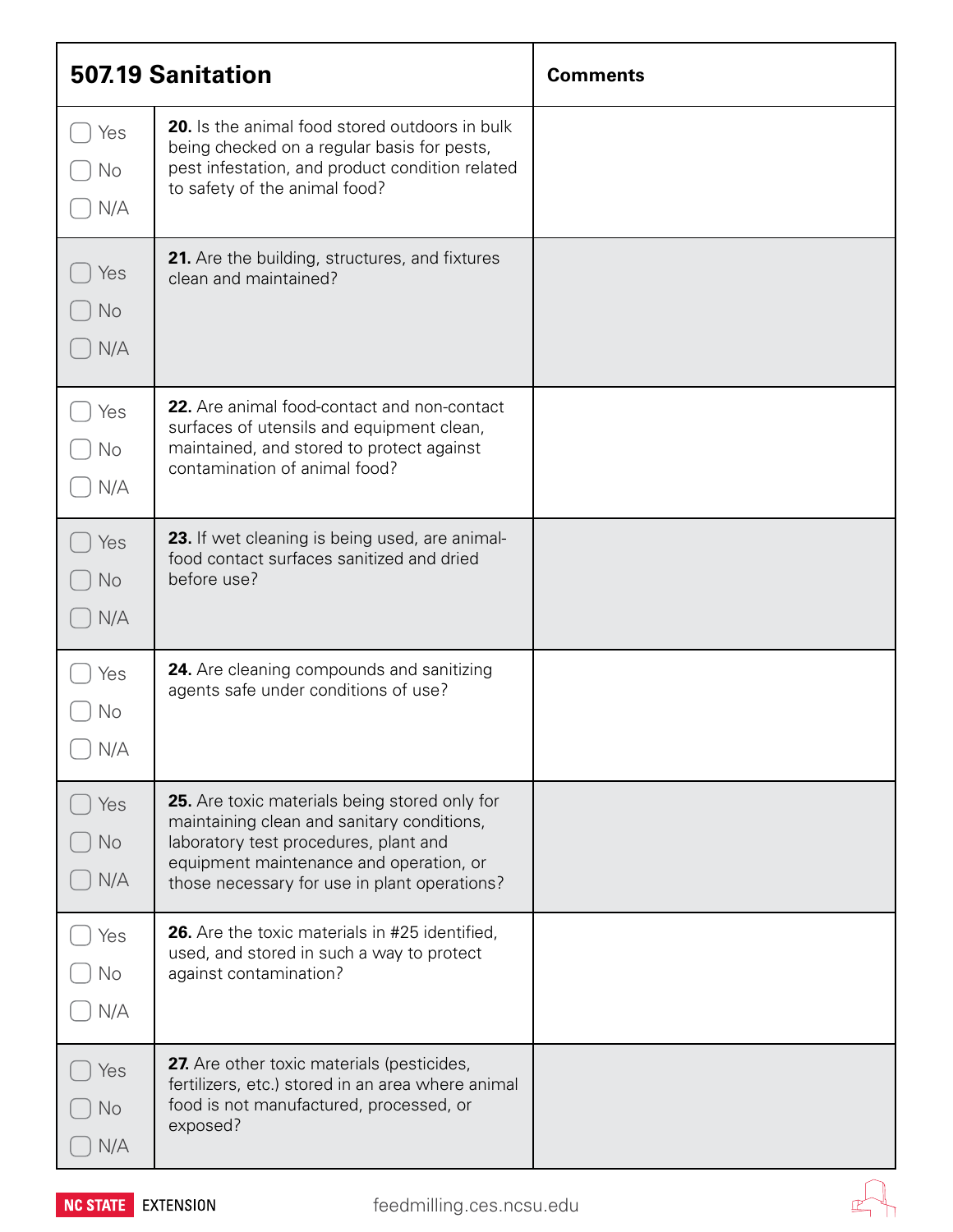| <b>507.19 Sanitation</b> |                                                                                                                                                                                                                                 | <b>Comments</b> |
|--------------------------|---------------------------------------------------------------------------------------------------------------------------------------------------------------------------------------------------------------------------------|-----------------|
| Yes<br>No<br>N/A         | <b>20.</b> Is the animal food stored outdoors in bulk<br>being checked on a regular basis for pests,<br>pest infestation, and product condition related<br>to safety of the animal food?                                        |                 |
| Yes<br><b>No</b><br>N/A  | 21. Are the building, structures, and fixtures<br>clean and maintained?                                                                                                                                                         |                 |
| Yes<br>No<br>N/A         | 22. Are animal food-contact and non-contact<br>surfaces of utensils and equipment clean,<br>maintained, and stored to protect against<br>contamination of animal food?                                                          |                 |
| Yes<br>No<br>N/A         | 23. If wet cleaning is being used, are animal-<br>food contact surfaces sanitized and dried<br>before use?                                                                                                                      |                 |
| Yes<br>No<br>N/A         | 24. Are cleaning compounds and sanitizing<br>agents safe under conditions of use?                                                                                                                                               |                 |
| Yes<br><b>No</b><br>N/A  | 25. Are toxic materials being stored only for<br>maintaining clean and sanitary conditions,<br>laboratory test procedures, plant and<br>equipment maintenance and operation, or<br>those necessary for use in plant operations? |                 |
| Yes<br>No<br>N/A         | <b>26.</b> Are the toxic materials in #25 identified,<br>used, and stored in such a way to protect<br>against contamination?                                                                                                    |                 |
| Yes<br><b>No</b><br>N/A  | 27. Are other toxic materials (pesticides,<br>fertilizers, etc.) stored in an area where animal<br>food is not manufactured, processed, or<br>exposed?                                                                          |                 |

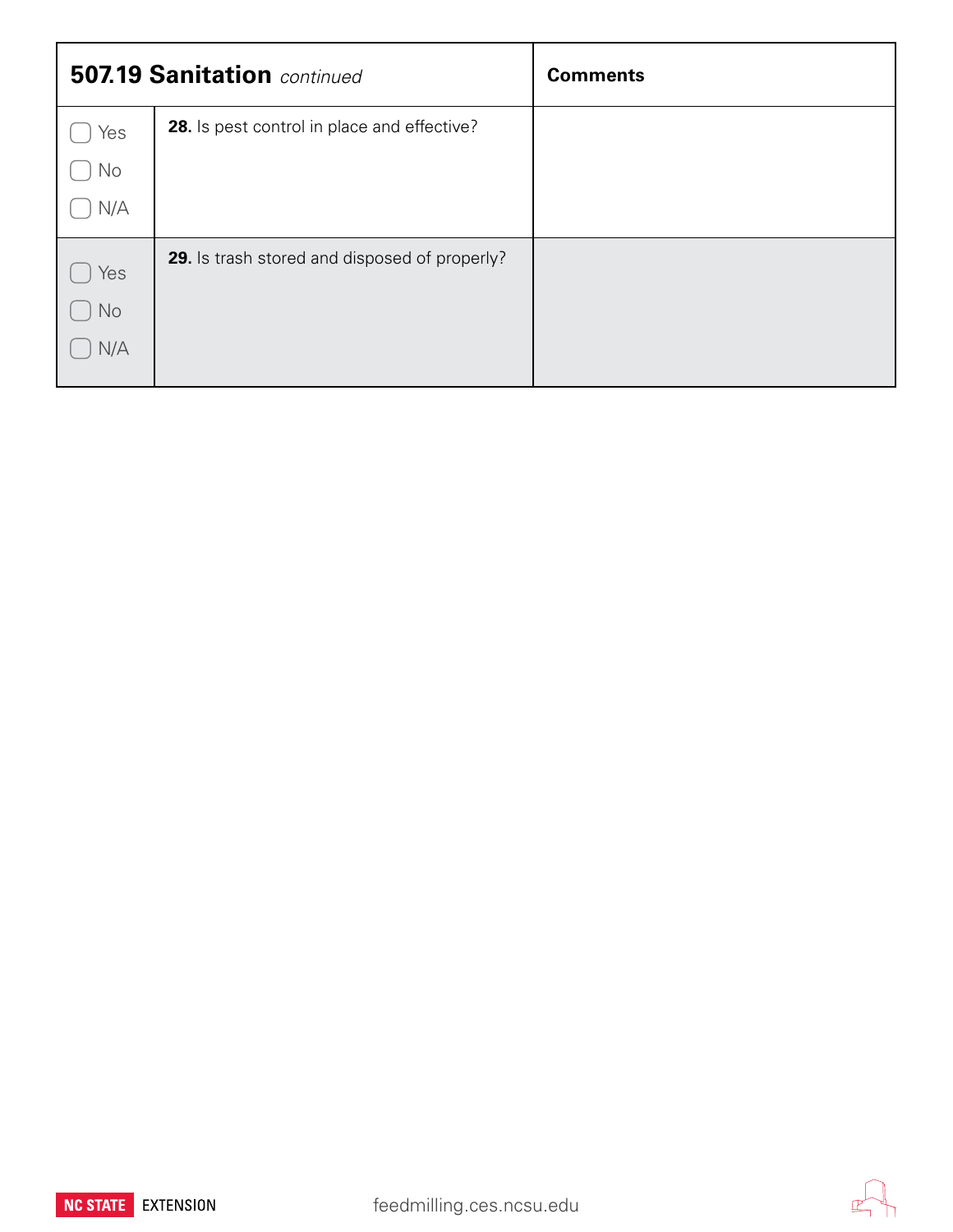|     | <b>507.19 Sanitation</b> continued                 | <b>Comments</b> |
|-----|----------------------------------------------------|-----------------|
| Yes | <b>28.</b> Is pest control in place and effective? |                 |
| No  |                                                    |                 |
| N/A |                                                    |                 |
| Yes | 29. Is trash stored and disposed of properly?      |                 |
| No  |                                                    |                 |
| N/A |                                                    |                 |



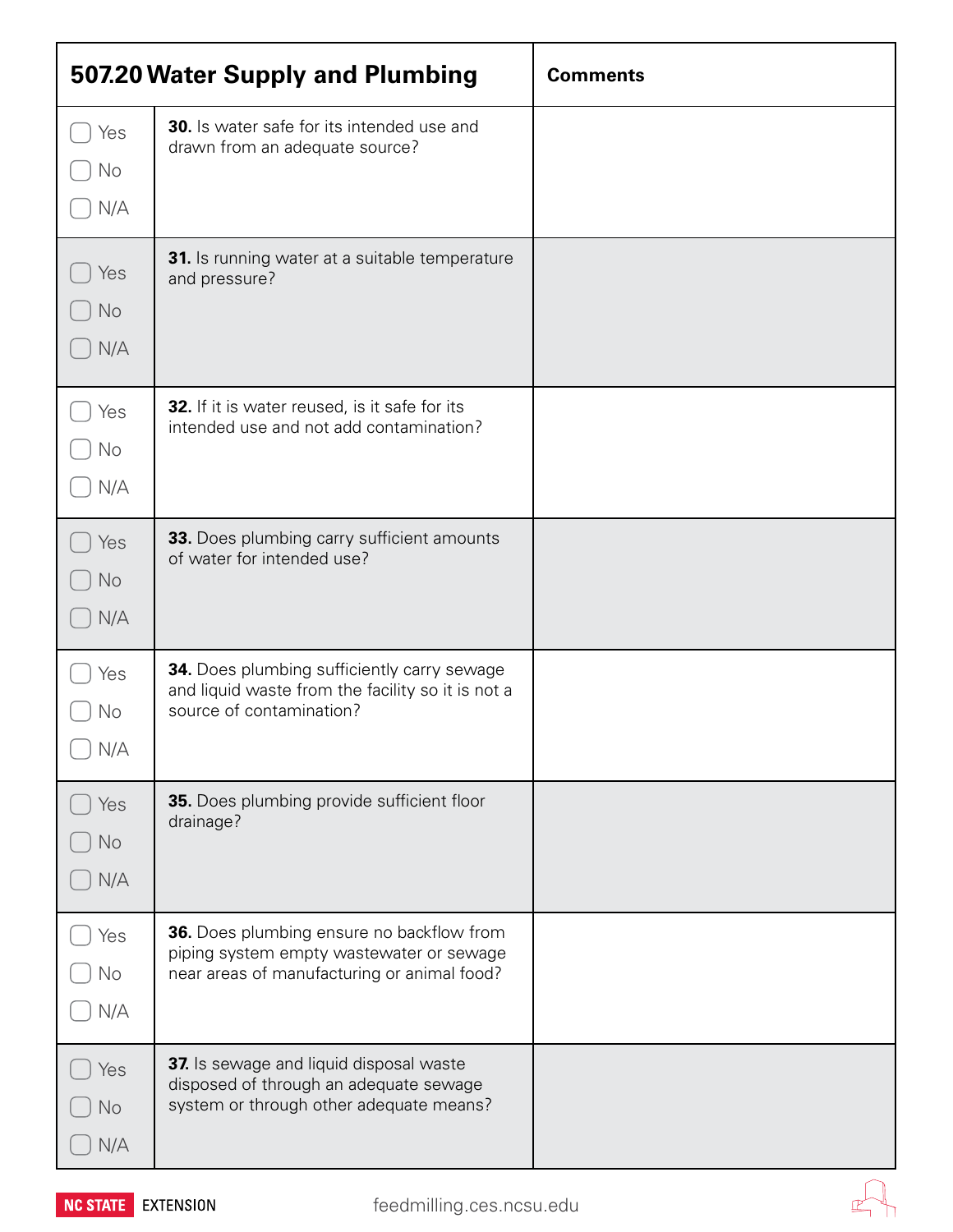| 507.20 Water Supply and Plumbing |                                                                                                                                      | <b>Comments</b> |
|----------------------------------|--------------------------------------------------------------------------------------------------------------------------------------|-----------------|
| Yes<br>No<br>N/A                 | <b>30.</b> Is water safe for its intended use and<br>drawn from an adequate source?                                                  |                 |
| Yes<br>No<br>N/A                 | 31. Is running water at a suitable temperature<br>and pressure?                                                                      |                 |
| Yes<br>No<br>N/A                 | 32. If it is water reused, is it safe for its<br>intended use and not add contamination?                                             |                 |
| Yes<br>No<br>N/A                 | 33. Does plumbing carry sufficient amounts<br>of water for intended use?                                                             |                 |
| Yes<br>No<br>N/A                 | <b>34.</b> Does plumbing sufficiently carry sewage<br>and liquid waste from the facility so it is not a<br>source of contamination?  |                 |
| Yes<br>No<br>N/A                 | 35. Does plumbing provide sufficient floor<br>drainage?                                                                              |                 |
| Yes<br>No<br>N/A                 | 36. Does plumbing ensure no backflow from<br>piping system empty wastewater or sewage<br>near areas of manufacturing or animal food? |                 |
| Yes<br>No<br>N/A                 | 37. Is sewage and liquid disposal waste<br>disposed of through an adequate sewage<br>system or through other adequate means?         |                 |



 $\mathbb{Z}^{\!\vee}$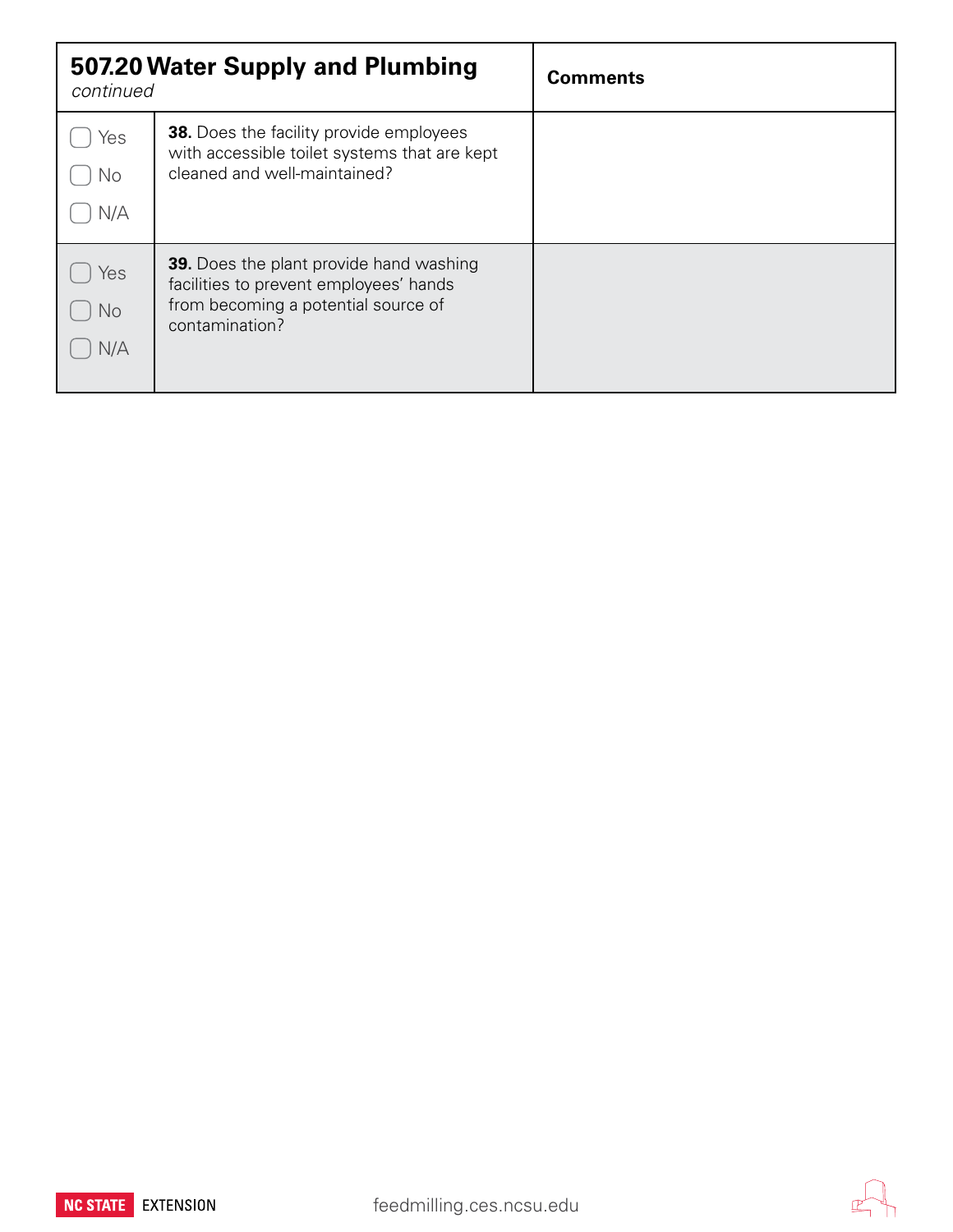| 507.20 Water Supply and Plumbing<br>continued |                                                                                                                                                   | <b>Comments</b> |
|-----------------------------------------------|---------------------------------------------------------------------------------------------------------------------------------------------------|-----------------|
| Yes<br>No<br>N/A                              | <b>38.</b> Does the facility provide employees<br>with accessible toilet systems that are kept<br>cleaned and well-maintained?                    |                 |
| Yes<br>No<br>N/A                              | <b>39.</b> Does the plant provide hand washing<br>facilities to prevent employees' hands<br>from becoming a potential source of<br>contamination? |                 |



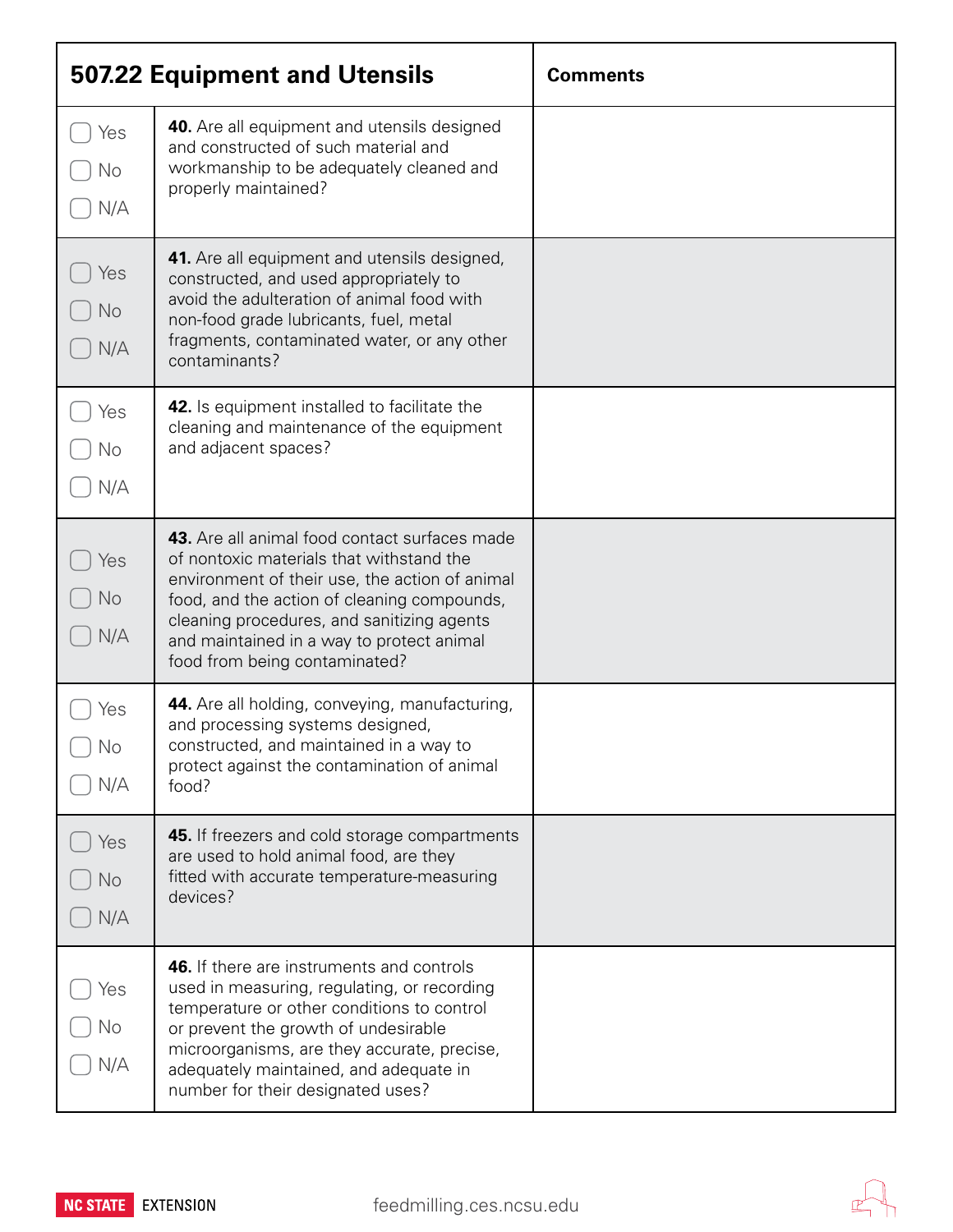| 507.22 Equipment and Utensils |                                                                                                                                                                                                                                                                                                                        | <b>Comments</b> |
|-------------------------------|------------------------------------------------------------------------------------------------------------------------------------------------------------------------------------------------------------------------------------------------------------------------------------------------------------------------|-----------------|
| Yes<br>No<br>N/A              | <b>40.</b> Are all equipment and utensils designed<br>and constructed of such material and<br>workmanship to be adequately cleaned and<br>properly maintained?                                                                                                                                                         |                 |
| Yes<br>No<br>N/A              | 41. Are all equipment and utensils designed,<br>constructed, and used appropriately to<br>avoid the adulteration of animal food with<br>non-food grade lubricants, fuel, metal<br>fragments, contaminated water, or any other<br>contaminants?                                                                         |                 |
| Yes<br>No<br>N/A              | <b>42.</b> Is equipment installed to facilitate the<br>cleaning and maintenance of the equipment<br>and adjacent spaces?                                                                                                                                                                                               |                 |
| Yes<br><b>No</b><br>N/A       | 43. Are all animal food contact surfaces made<br>of nontoxic materials that withstand the<br>environment of their use, the action of animal<br>food, and the action of cleaning compounds,<br>cleaning procedures, and sanitizing agents<br>and maintained in a way to protect animal<br>food from being contaminated? |                 |
| Yes<br>No<br>N/A              | 44. Are all holding, conveying, manufacturing,<br>and processing systems designed,<br>constructed, and maintained in a way to<br>protect against the contamination of animal<br>food?                                                                                                                                  |                 |
| Yes<br><b>No</b><br>N/A       | 45. If freezers and cold storage compartments<br>are used to hold animal food, are they<br>fitted with accurate temperature-measuring<br>devices?                                                                                                                                                                      |                 |
| Yes<br>No<br>N/A              | 46. If there are instruments and controls<br>used in measuring, regulating, or recording<br>temperature or other conditions to control<br>or prevent the growth of undesirable<br>microorganisms, are they accurate, precise,<br>adequately maintained, and adequate in<br>number for their designated uses?           |                 |

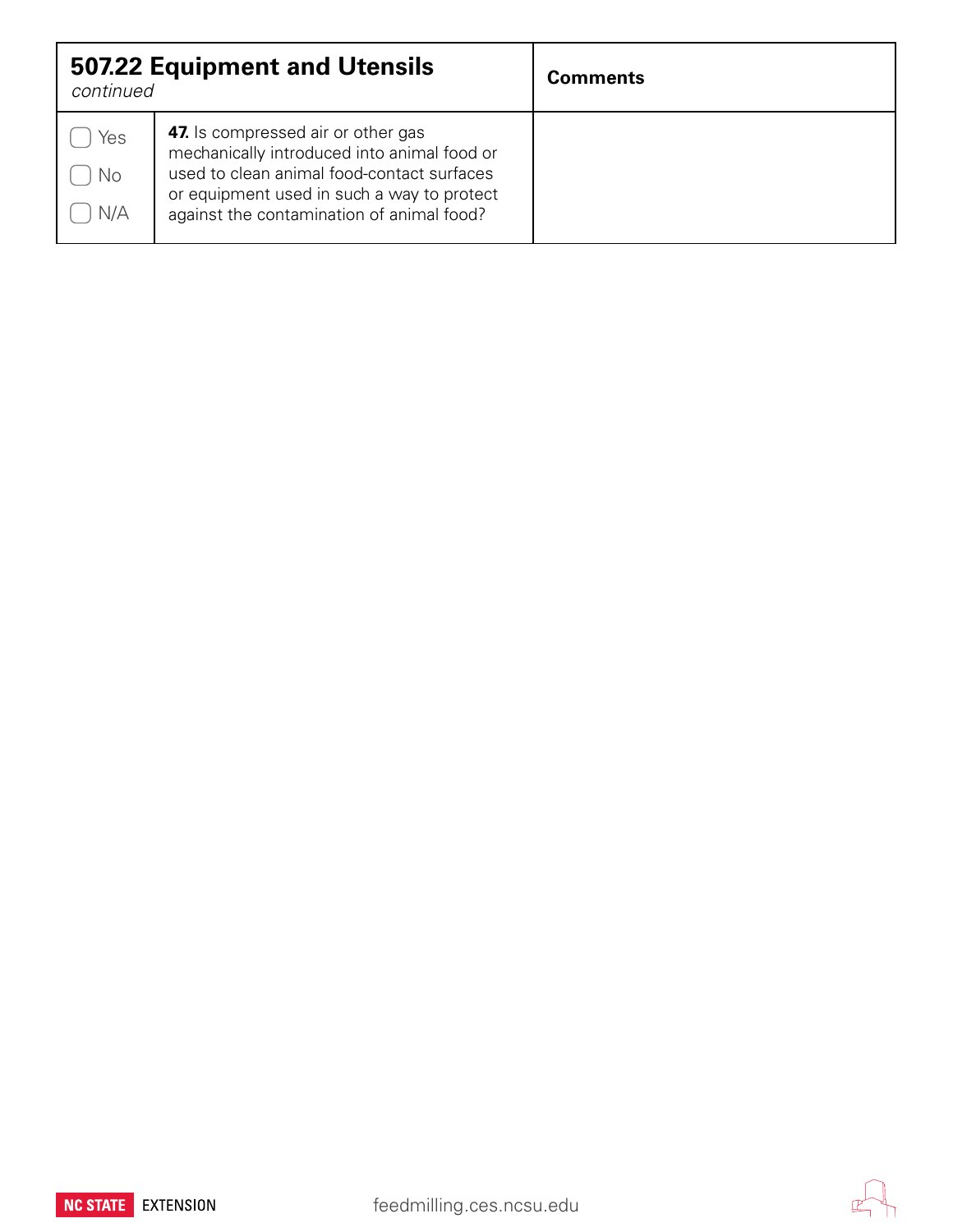| continued        | <b>507.22 Equipment and Utensils</b>                                                                                                                                                                                              | <b>Comments</b> |
|------------------|-----------------------------------------------------------------------------------------------------------------------------------------------------------------------------------------------------------------------------------|-----------------|
| Yes<br>No<br>N/A | <b>47.</b> Is compressed air or other gas<br>mechanically introduced into animal food or<br>used to clean animal food-contact surfaces<br>or equipment used in such a way to protect<br>against the contamination of animal food? |                 |



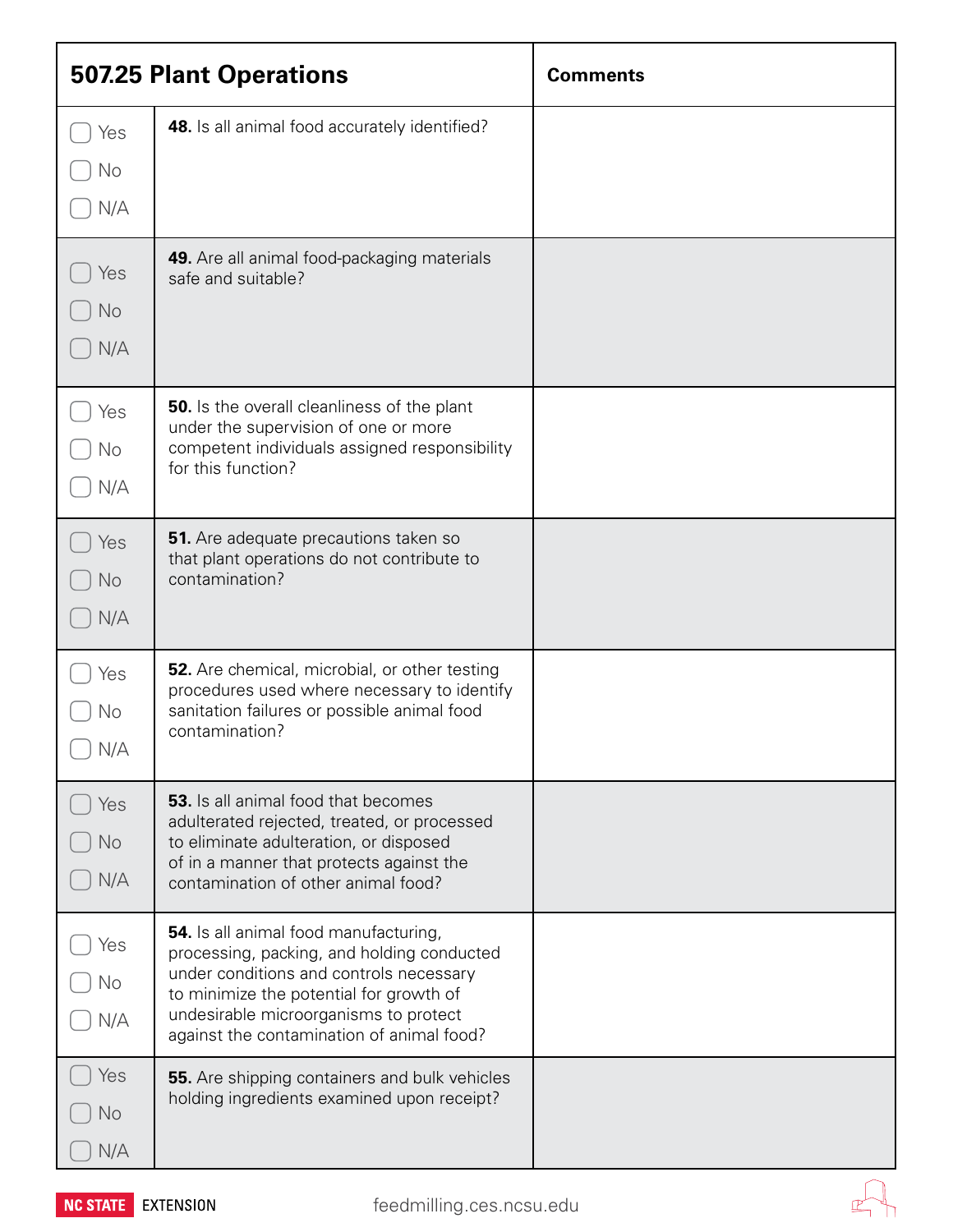| <b>507.25 Plant Operations</b> |                                                                                                                                                                                                                                                                        | <b>Comments</b> |
|--------------------------------|------------------------------------------------------------------------------------------------------------------------------------------------------------------------------------------------------------------------------------------------------------------------|-----------------|
| Yes<br>No<br>N/A               | 48. Is all animal food accurately identified?                                                                                                                                                                                                                          |                 |
| Yes<br>No<br>N/A               | 49. Are all animal food-packaging materials<br>safe and suitable?                                                                                                                                                                                                      |                 |
| Yes<br>No<br>N/A               | <b>50.</b> Is the overall cleanliness of the plant<br>under the supervision of one or more<br>competent individuals assigned responsibility<br>for this function?                                                                                                      |                 |
| Yes<br>No<br>N/A               | 51. Are adequate precautions taken so<br>that plant operations do not contribute to<br>contamination?                                                                                                                                                                  |                 |
| Yes<br>No<br>N/A               | 52. Are chemical, microbial, or other testing<br>procedures used where necessary to identify<br>sanitation failures or possible animal food<br>contamination?                                                                                                          |                 |
| Yes<br><b>No</b><br>N/A        | <b>53.</b> Is all animal food that becomes<br>adulterated rejected, treated, or processed<br>to eliminate adulteration, or disposed<br>of in a manner that protects against the<br>contamination of other animal food?                                                 |                 |
| Yes<br>No<br>N/A               | <b>54.</b> Is all animal food manufacturing,<br>processing, packing, and holding conducted<br>under conditions and controls necessary<br>to minimize the potential for growth of<br>undesirable microorganisms to protect<br>against the contamination of animal food? |                 |
| Yes<br>No<br>N/A               | 55. Are shipping containers and bulk vehicles<br>holding ingredients examined upon receipt?                                                                                                                                                                            |                 |



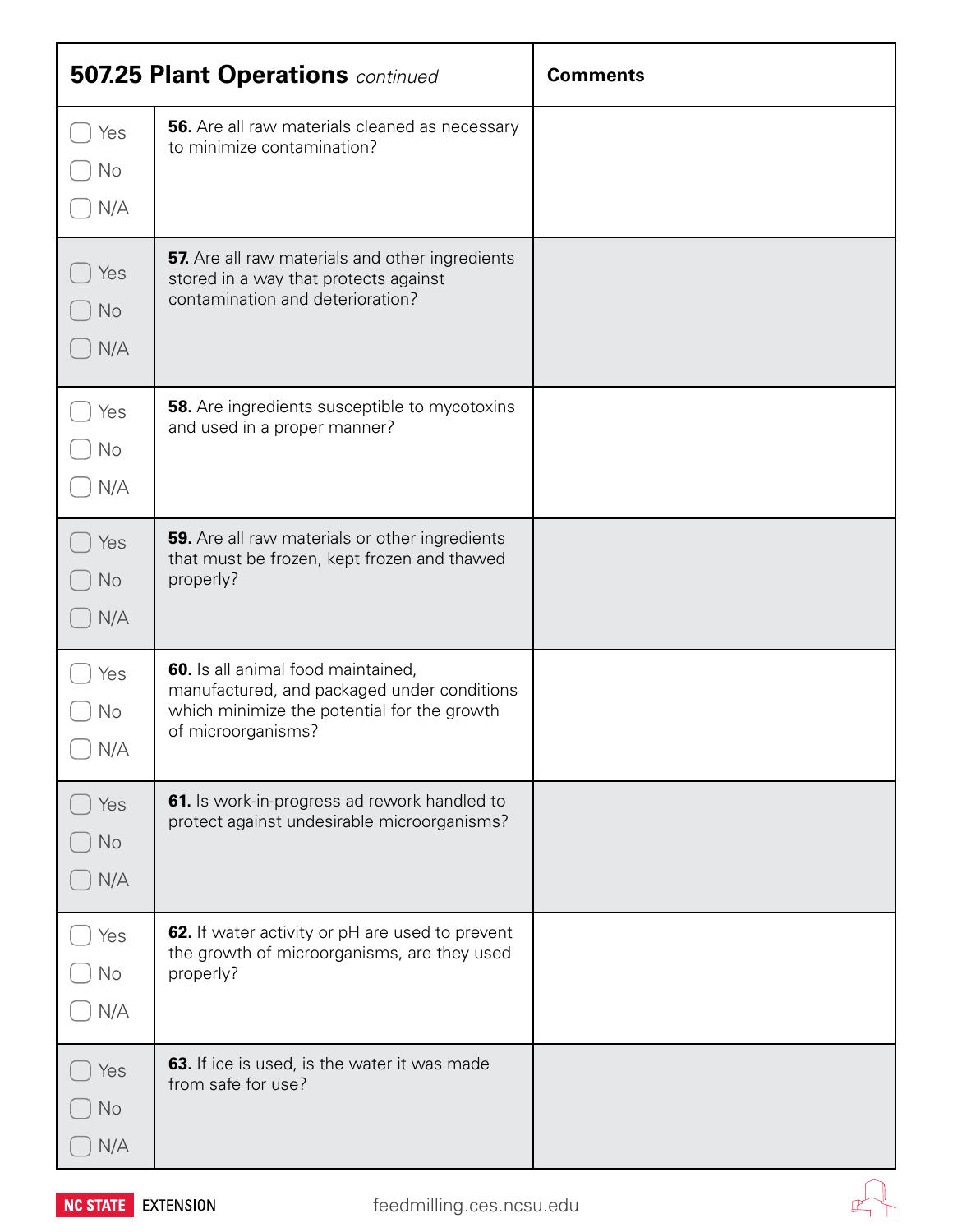| <b>507.25 Plant Operations</b> continued |                                                                                                                                                        | <b>Comments</b> |
|------------------------------------------|--------------------------------------------------------------------------------------------------------------------------------------------------------|-----------------|
| Yes<br>No<br>N/A                         | 56. Are all raw materials cleaned as necessary<br>to minimize contamination?                                                                           |                 |
| Yes<br>No<br>N/A                         | 57. Are all raw materials and other ingredients<br>stored in a way that protects against<br>contamination and deterioration?                           |                 |
| Yes<br>No<br>N/A                         | <b>58.</b> Are ingredients susceptible to mycotoxins<br>and used in a proper manner?                                                                   |                 |
| Yes<br>No<br>N/A                         | 59. Are all raw materials or other ingredients<br>that must be frozen, kept frozen and thawed<br>properly?                                             |                 |
| Yes<br>No<br>N/A                         | 60. Is all animal food maintained,<br>manufactured, and packaged under conditions<br>which minimize the potential for the growth<br>of microorganisms? |                 |
| Yes<br>No<br>N/A                         | 61. Is work-in-progress ad rework handled to<br>protect against undesirable microorganisms?                                                            |                 |
| Yes<br>No<br>N/A                         | 62. If water activity or pH are used to prevent<br>the growth of microorganisms, are they used<br>properly?                                            |                 |
| Yes<br>No<br>N/A                         | <b>63.</b> If ice is used, is the water it was made<br>from safe for use?                                                                              |                 |



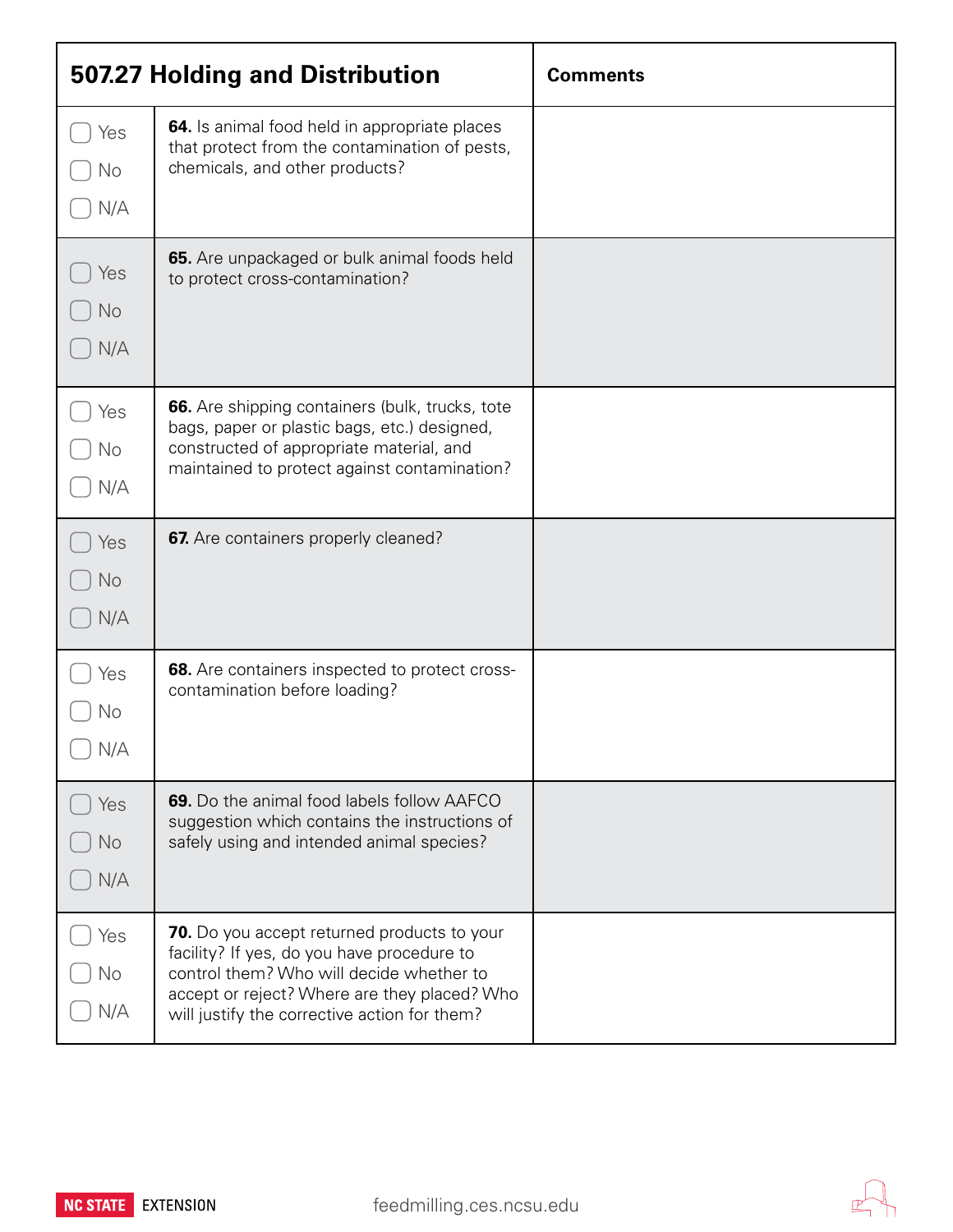| 507.27 Holding and Distribution |                                                                                                                                                                                                                                              | <b>Comments</b> |
|---------------------------------|----------------------------------------------------------------------------------------------------------------------------------------------------------------------------------------------------------------------------------------------|-----------------|
| Yes<br>No<br>N/A                | 64. Is animal food held in appropriate places<br>that protect from the contamination of pests,<br>chemicals, and other products?                                                                                                             |                 |
| Yes<br>No<br>N/A                | 65. Are unpackaged or bulk animal foods held<br>to protect cross-contamination?                                                                                                                                                              |                 |
| Yes<br>No<br>N/A                | 66. Are shipping containers (bulk, trucks, tote<br>bags, paper or plastic bags, etc.) designed,<br>constructed of appropriate material, and<br>maintained to protect against contamination?                                                  |                 |
| Yes<br><b>No</b><br>N/A         | 67. Are containers properly cleaned?                                                                                                                                                                                                         |                 |
| Yes<br>No<br>N/A                | 68. Are containers inspected to protect cross-<br>contamination before loading?                                                                                                                                                              |                 |
| Yes<br>No<br>N/A                | 69. Do the animal food labels follow AAFCO<br>suggestion which contains the instructions of<br>safely using and intended animal species?                                                                                                     |                 |
| Yes<br>No<br>N/A                | <b>70.</b> Do you accept returned products to your<br>facility? If yes, do you have procedure to<br>control them? Who will decide whether to<br>accept or reject? Where are they placed? Who<br>will justify the corrective action for them? |                 |